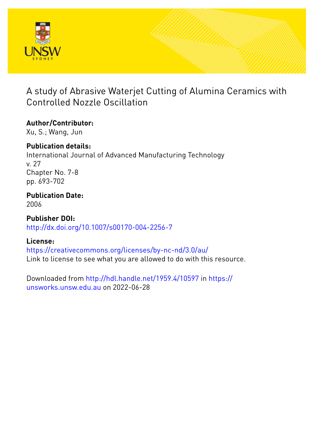

# A study of Abrasive Waterjet Cutting of Alumina Ceramics with Controlled Nozzle Oscillation

# **Author/Contributor:**

Xu, S.; Wang, Jun

# **Publication details:**

International Journal of Advanced Manufacturing Technology v. 27 Chapter No. 7-8 pp. 693-702

**Publication Date:** 2006

**Publisher DOI:** [http://dx.doi.org/10.1007/s00170-004-2256-7](http://dx.doi.org/http://dx.doi.org/10.1007/s00170-004-2256-7)

## **License:**

<https://creativecommons.org/licenses/by-nc-nd/3.0/au/> Link to license to see what you are allowed to do with this resource.

Downloaded from <http://hdl.handle.net/1959.4/10597> in [https://](https://unsworks.unsw.edu.au) [unsworks.unsw.edu.au](https://unsworks.unsw.edu.au) on 2022-06-28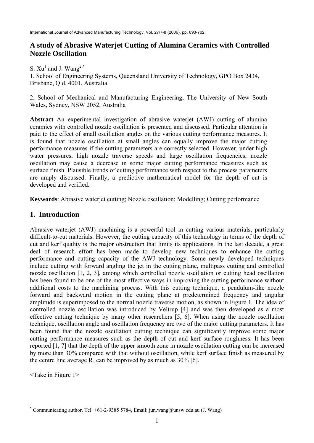## **A study of Abrasive Waterjet Cutting of Alumina Ceramics with Controlled Nozzle Oscillation**

S.  $Xu^1$  and J. Wang<sup>2,\*</sup>

1. School of Engineering Systems, Queensland University of Technology, GPO Box 2434, Brisbane, Qld. 4001, Australia

2. School of Mechanical and Manufacturing Engineering, The University of New South Wales, Sydney, NSW 2052, Australia

**Abstract** An experimental investigation of abrasive waterjet (AWJ) cutting of alumina ceramics with controlled nozzle oscillation is presented and discussed. Particular attention is paid to the effect of small oscillation angles on the various cutting performance measures. It is found that nozzle oscillation at small angles can equally improve the major cutting performance measures if the cutting parameters are correctly selected. However, under high water pressures, high nozzle traverse speeds and large oscillation frequencies, nozzle oscillation may cause a decrease in some major cutting performance measures such as surface finish. Plausible trends of cutting performance with respect to the process parameters are amply discussed. Finally, a predictive mathematical model for the depth of cut is developed and verified.

**Keywords**: Abrasive waterjet cutting; Nozzle oscillation; Modelling; Cutting performance

## **1. Introduction**

Abrasive waterjet (AWJ) machining is a powerful tool in cutting various materials, particularly difficult-to-cut materials. However, the cutting capacity of this technology in terms of the depth of cut and kerf quality is the major obstruction that limits its applications. In the last decade, a great deal of research effort has been made to develop new techniques to enhance the cutting performance and cutting capacity of the AWJ technology. Some newly developed techniques include cutting with forward angling the jet in the cutting plane, multipass cutting and controlled nozzle oscillation [1, 2, 3], among which controlled nozzle oscillation or cutting head oscillation has been found to be one of the most effective ways in improving the cutting performance without additional costs to the machining process. With this cutting technique, a pendulum-like nozzle forward and backward motion in the cutting plane at predetermined frequency and angular amplitude is superimposed to the normal nozzle traverse motion, as shown in Figure 1. The idea of controlled nozzle oscillation was introduced by Veltrup [4] and was then developed as a most effective cutting technique by many other researchers [5, 6]. When using the nozzle oscillation technique, oscillation angle and oscillation frequency are two of the major cutting parameters. It has been found that the nozzle oscillation cutting technique can significantly improve some major cutting performance measures such as the depth of cut and kerf surface roughness. It has been reported [1, 7] that the depth of the upper smooth zone in nozzle oscillation cutting can be increased by more than 30% compared with that without oscillation, while kerf surface finish as measured by the centre line average  $R_a$  can be improved by as much as 30% [6].

<Take in Figure 1>

 $\overline{a}$ 

<sup>\*</sup> Communicating author. Tel: +61-2-9385 5784, Email: jun.wang@unsw.edu.au (J. Wang)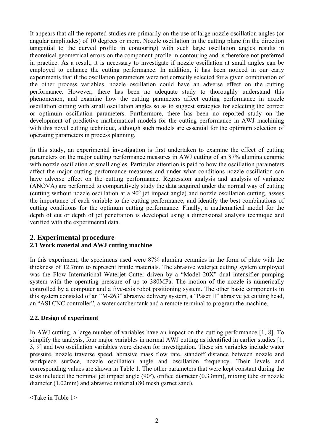It appears that all the reported studies are primarily on the use of large nozzle oscillation angles (or angular amplitudes) of 10 degrees or more. Nozzle oscillation in the cutting plane (in the direction tangential to the curved profile in contouring) with such large oscillation angles results in theoretical geometrical errors on the component profile in contouring and is therefore not preferred in practice. As a result, it is necessary to investigate if nozzle oscillation at small angles can be employed to enhance the cutting performance. In addition, it has been noticed in our early experiments that if the oscillation parameters were not correctly selected for a given combination of the other process variables, nozzle oscillation could have an adverse effect on the cutting performance. However, there has been no adequate study to thoroughly understand this phenomenon, and examine how the cutting parameters affect cutting performance in nozzle oscillation cutting with small oscillation angles so as to suggest strategies for selecting the correct or optimum oscillation parameters. Furthermore, there has been no reported study on the development of predictive mathematical models for the cutting performance in AWJ machining with this novel cutting technique, although such models are essential for the optimum selection of operating parameters in process planning.

In this study, an experimental investigation is first undertaken to examine the effect of cutting parameters on the major cutting performance measures in AWJ cutting of an 87% alumina ceramic with nozzle oscillation at small angles. Particular attention is paid to how the oscillation parameters affect the major cutting performance measures and under what conditions nozzle oscillation can have adverse effect on the cutting performance. Regression analysis and analysis of variance (ANOVA) are performed to comparatively study the data acquired under the normal way of cutting (cutting without nozzle oscillation at a  $90^{\circ}$  jet impact angle) and nozzle oscillation cutting, assess the importance of each variable to the cutting performance, and identify the best combinations of cutting conditions for the optimum cutting performance. Finally, a mathematical model for the depth of cut or depth of jet penetration is developed using a dimensional analysis technique and verified with the experimental data.

## **2. Experimental procedure**

## **2.1 Work material and AWJ cutting machine**

In this experiment, the specimens used were 87% alumina ceramics in the form of plate with the thickness of 12.7mm to represent brittle materials. The abrasive waterjet cutting system employed was the Flow International Waterjet Cutter driven by a "Model 20X" dual intensifier pumping system with the operating pressure of up to 380MPa. The motion of the nozzle is numerically controlled by a computer and a five-axis robot positioning system. The other basic components in this system consisted of an "M-263" abrasive delivery system, a "Paser II" abrasive jet cutting head, an "ASI CNC controller", a water catcher tank and a remote terminal to program the machine.

### **2.2. Design of experiment**

In AWJ cutting, a large number of variables have an impact on the cutting performance [1, 8]. To simplify the analysis, four major variables in normal AWJ cutting as identified in earlier studies [1, 3, 9] and two oscillation variables were chosen for investigation. These six variables include water pressure, nozzle traverse speed, abrasive mass flow rate, standoff distance between nozzle and workpiece surface, nozzle oscillation angle and oscillation frequency. Their levels and corresponding values are shown in Table 1. The other parameters that were kept constant during the tests included the nominal jet impact angle (90º), orifice diameter (0.33mm), mixing tube or nozzle diameter (1.02mm) and abrasive material (80 mesh garnet sand).

 $\leq$ Take in Table 1>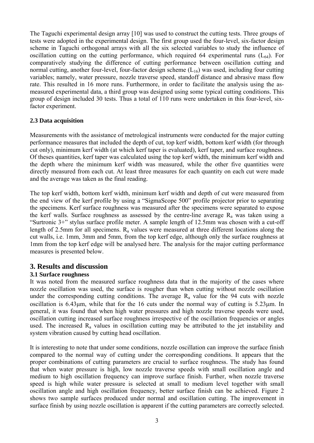The Taguchi experimental design array [10] was used to construct the cutting tests. Three groups of tests were adopted in the experimental design. The first group used the four-level, six-factor design scheme in Taguchi orthogonal arrays with all the six selected variables to study the influence of oscillation cutting on the cutting performance, which required 64 experimental runs  $(L_{64})$ . For comparatively studying the difference of cutting performance between oscillation cutting and normal cutting, another four-level, four-factor design scheme  $(L_{16})$  was used, including four cutting variables; namely, water pressure, nozzle traverse speed, standoff distance and abrasive mass flow rate. This resulted in 16 more runs. Furthermore, in order to facilitate the analysis using the asmeasured experimental data, a third group was designed using some typical cutting conditions. This group of design included 30 tests. Thus a total of 110 runs were undertaken in this four-level, sixfactor experiment.

### **2.3 Data acquisition**

Measurements with the assistance of metrological instruments were conducted for the major cutting performance measures that included the depth of cut, top kerf width, bottom kerf width (for through cut only), minimum kerf width (at which kerf taper is evaluated), kerf taper, and surface roughness. Of theses quantities, kerf taper was calculated using the top kerf width, the minimum kerf width and the depth where the minimum kerf width was measured, while the other five quantities were directly measured from each cut. At least three measures for each quantity on each cut were made and the average was taken as the final reading.

The top kerf width, bottom kerf width, minimum kerf width and depth of cut were measured from the end view of the kerf profile by using a "SigmaScope 500" profile projector prior to separating the specimens. Kerf surface roughness was measured after the specimens were separated to expose the kerf walls. Surface roughness as assessed by the centre-line average  $R_a$  was taken using a "Surtronic 3+" stylus surface profile meter. A sample length of 12.5mm was chosen with a cut-off length of 2.5mm for all specimens.  $R_a$  values were measured at three different locations along the cut walls, i.e. 1mm, 3mm and 5mm, from the top kerf edge, although only the surface roughness at 1mm from the top kerf edge will be analysed here. The analysis for the major cutting performance measures is presented below.

### **3. Results and discussion**

#### **3.1 Surface roughness**

It was noted from the measured surface roughness data that in the majority of the cases where nozzle oscillation was used, the surface is rougher than when cutting without nozzle oscillation under the corresponding cutting conditions. The average  $R_a$  value for the 94 cuts with nozzle oscillation is 6.43μm, while that for the 16 cuts under the normal way of cutting is 5.23μm. In general, it was found that when high water pressures and high nozzle traverse speeds were used, oscillation cutting increased surface roughness irrespective of the oscillation frequencies or angles used. The increased  $R_a$  values in oscillation cutting may be attributed to the jet instability and system vibration caused by cutting head oscillation.

It is interesting to note that under some conditions, nozzle oscillation can improve the surface finish compared to the normal way of cutting under the corresponding conditions. It appears that the proper combinations of cutting parameters are crucial to surface roughness. The study has found that when water pressure is high, low nozzle traverse speeds with small oscillation angle and medium to high oscillation frequency can improve surface finish. Further, when nozzle traverse speed is high while water pressure is selected at small to medium level together with small oscillation angle and high oscillation frequency, better surface finish can be achieved. Figure 2 shows two sample surfaces produced under normal and oscillation cutting. The improvement in surface finish by using nozzle oscillation is apparent if the cutting parameters are correctly selected.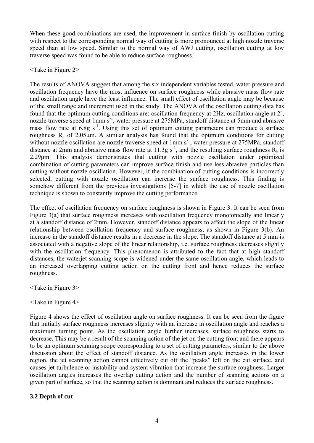When these good combinations are used, the improvement in surface finish by oscillation cutting with respect to the corresponding normal way of cutting is more pronounced at high nozzle traverse speed than at low speed. Similar to the normal way of AWJ cutting, oscillation cutting at low traverse speed was found to be able to reduce surface roughness.

<Take in Figure 2>

The results of ANOVA suggest that among the six independent variables tested, water pressure and oscillation frequency have the most influence on surface roughness while abrasive mass flow rate and oscillation angle have the least influence. The small effect of oscillation angle may be because of the small range and increment used in the study. The ANOVA of the oscillation cutting data has found that the optimum cutting conditions are: oscillation frequency at 2Hz, oscillation angle at 2˚, nozzle traverse speed at 1mm s<sup>-1</sup>, water pressure at 275MPa, standoff distance at 5mm and abrasive mass flow rate at  $6.8g\ s^1$ . Using this set of optimum cutting parameters can produce a surface roughness  $R_a$  of 2.05  $\mu$ m. A similar analysis has found that the optimum conditions for cutting without nozzle oscillation are nozzle traverse speed at 1mm s<sup>-1</sup>, water pressure at 275MPa, standoff distance at 2mm and abrasive mass flow rate at  $11.3g s^{-1}$ , and the resulting surface roughness  $R_a$  is 2.29μm. This analysis demonstrates that cutting with nozzle oscillation under optimized combination of cutting parameters can improve surface finish and use less abrasive particles than cutting without nozzle oscillation. However, if the combination of cutting conditions is incorrectly selected, cutting with nozzle oscillation can increase the surface roughness. This finding is somehow different from the previous investigations [5-7] in which the use of nozzle oscillation technique is shown to constantly improve the cutting performance.

The effect of oscillation frequency on surface roughness is shown in Figure 3. It can be seen from Figure 3(a) that surface roughness increases with oscillation frequency monotonically and linearly at a standoff distance of 2mm. However, standoff distance appears to affect the slope of the linear relationship between oscillation frequency and surface roughness, as shown in Figure 3(b). An increase in the standoff distance results in a decrease in the slope. The standoff distance at 5 mm is associated with a negative slope of the linear relationship, i.e. surface roughness decreases slightly with the oscillation frequency. This phenomenon is attributed to the fact that at high standoff distances, the waterjet scanning scope is widened under the same oscillation angle, which leads to an increased overlapping cutting action on the cutting front and hence reduces the surface roughness.

<Take in Figure 3>

<Take in Figure 4>

Figure 4 shows the effect of oscillation angle on surface roughness. It can be seen from the figure that initially surface roughness increases slightly with an increase in oscillation angle and reaches a maximum turning point. As the oscillation angle further increases, surface roughness starts to decrease. This may be a result of the scanning action of the jet on the cutting front and there appears to be an optimum scanning scope corresponding to a set of cutting parameters, similar to the above discussion about the effect of standoff distance. As the oscillation angle increases in the lower region, the jet scanning action cannot effectively cut off the "peaks" left on the cut surface, and causes jet turbulence or instability and system vibration that increase the surface roughness. Larger oscillation angles increases the overlap cutting action and the number of scanning actions on a given part of surface, so that the scanning action is dominant and reduces the surface roughness.

### **3.2 Depth of cut**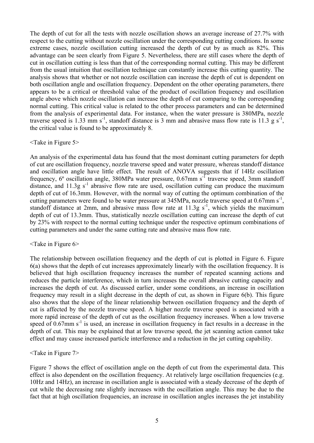The depth of cut for all the tests with nozzle oscillation shows an average increase of 27.7% with respect to the cutting without nozzle oscillation under the corresponding cutting conditions. In some extreme cases, nozzle oscillation cutting increased the depth of cut by as much as 82%. This advantage can be seen clearly from Figure 5. Nevertheless, there are still cases where the depth of cut in oscillation cutting is less than that of the corresponding normal cutting. This may be different from the usual intuition that oscillation technique can constantly increase this cutting quantity. The analysis shows that whether or not nozzle oscillation can increase the depth of cut is dependent on both oscillation angle and oscillation frequency. Dependent on the other operating parameters, there appears to be a critical or threshold value of the product of oscillation frequency and oscillation angle above which nozzle oscillation can increase the depth of cut comparing to the corresponding normal cutting. This critical value is related to the other process parameters and can be determined from the analysis of experimental data. For instance, when the water pressure is 380MPa, nozzle traverse speed is 1.33 mm s<sup>-1</sup>, standoff distance is 3 mm and abrasive mass flow rate is 11.3 g s<sup>-1</sup>, the critical value is found to be approximately 8.

<Take in Figure 5>

An analysis of the experimental data has found that the most dominant cutting parameters for depth of cut are oscillation frequency, nozzle traverse speed and water pressure, whereas standoff distance and oscillation angle have little effect. The result of ANOVA suggests that if 14Hz oscillation frequency, 6° oscillation angle, 380MPa water pressure, 0.67mm s<sup>-1</sup> traverse speed, 3mm standoff distance, and  $11.3g s<sup>-1</sup>$  abrasive flow rate are used, oscillation cutting can produce the maximum depth of cut of 16.3mm. However, with the normal way of cutting the optimum combination of the cutting parameters were found to be water pressure at 345MPa, nozzle traverse speed at 0.67mm s<sup>-1</sup>, standoff distance at 2mm, and abrasive mass flow rate at  $11.3g s<sup>-1</sup>$ , which yields the maximum depth of cut of 13.3mm. Thus, statistically nozzle oscillation cutting can increase the depth of cut by 23% with respect to the normal cutting technique under the respective optimum combinations of cutting parameters and under the same cutting rate and abrasive mass flow rate.

<Take in Figure 6>

The relationship between oscillation frequency and the depth of cut is plotted in Figure 6. Figure 6(a) shows that the depth of cut increases approximately linearly with the oscillation frequency. It is believed that high oscillation frequency increases the number of repeated scanning actions and reduces the particle interference, which in turn increases the overall abrasive cutting capacity and increases the depth of cut. As discussed earlier, under some conditions, an increase in oscillation frequency may result in a slight decrease in the depth of cut, as shown in Figure 6(b). This figure also shows that the slope of the linear relationship between oscillation frequency and the depth of cut is affected by the nozzle traverse speed. A higher nozzle traverse speed is associated with a more rapid increase of the depth of cut as the oscillation frequency increases. When a low traverse speed of  $0.67$ mm s<sup>-1</sup> is used, an increase in oscillation frequency in fact results in a decrease in the depth of cut. This may be explained that at low traverse speed, the jet scanning action cannot take effect and may cause increased particle interference and a reduction in the jet cutting capability.

<Take in Figure 7>

Figure 7 shows the effect of oscillation angle on the depth of cut from the experimental data. This effect is also dependent on the oscillation frequency. At relatively large oscillation frequencies (e.g. 10Hz and 14Hz), an increase in oscillation angle is associated with a steady decrease of the depth of cut while the decreasing rate slightly increases with the oscillation angle. This may be due to the fact that at high oscillation frequencies, an increase in oscillation angles increases the jet instability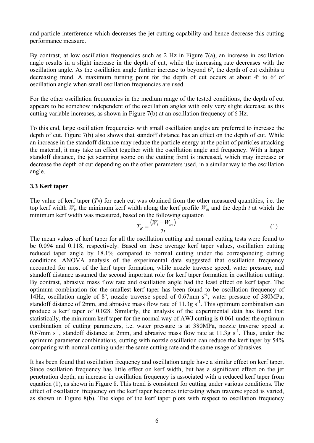and particle interference which decreases the jet cutting capability and hence decrease this cutting performance measure.

By contrast, at low oscillation frequencies such as 2 Hz in Figure 7(a), an increase in oscillation angle results in a slight increase in the depth of cut, while the increasing rate decreases with the oscillation angle. As the oscillation angle further increase to beyond 6º, the depth of cut exhibits a decreasing trend. A maximum turning point for the depth of cut occurs at about 4º to 6º of oscillation angle when small oscillation frequencies are used.

For the other oscillation frequencies in the medium range of the tested conditions, the depth of cut appears to be somehow independent of the oscillation angles with only very slight decrease as this cutting variable increases, as shown in Figure 7(b) at an oscillation frequency of 6 Hz.

To this end, large oscillation frequencies with small oscillation angles are preferred to increase the depth of cut. Figure 7(b) also shows that standoff distance has an effect on the depth of cut. While an increase in the standoff distance may reduce the particle energy at the point of particles attacking the material, it may take an effect together with the oscillation angle and frequency. With a larger standoff distance, the jet scanning scope on the cutting front is increased, which may increase or decrease the depth of cut depending on the other parameters used, in a similar way to the oscillation angle.

#### **3.3 Kerf taper**

The value of kerf taper  $(T_R)$  for each cut was obtained from the other measured quantities, i.e. the top kerf width  $W_t$ , the minimum kerf width along the kerf profile  $W_m$  and the depth *t* at which the minimum kerf width was measured, based on the following equation

$$
T_R = \frac{(W_t - W_m)}{2t} \tag{1}
$$

The mean values of kerf taper for all the oscillation cutting and normal cutting tests were found to be 0.094 and 0.118, respectively. Based on these average kerf taper values, oscillation cutting reduced taper angle by 18.1% compared to normal cutting under the corresponding cutting conditions. ANOVA analysis of the experimental data suggested that oscillation frequency accounted for most of the kerf taper formation, while nozzle traverse speed, water pressure, and standoff distance assumed the second important role for kerf taper formation in oscillation cutting. By contrast, abrasive mass flow rate and oscillation angle had the least effect on kerf taper. The optimum combination for the smallest kerf taper has been found to be oscillation frequency of 14Hz, oscillation angle of  $8^\circ$ , nozzle traverse speed of 0.67mm s<sup>-1</sup>, water pressure of 380MPa, standoff distance of 2mm, and abrasive mass flow rate of  $11.3g s<sup>-1</sup>$ . This optimum combination can produce a kerf taper of 0.028. Similarly, the analysis of the experimental data has found that statistically, the minimum kerf taper for the normal way of AWJ cutting is 0.061 under the optimum combination of cutting parameters, i.e. water pressure is at 380MPa, nozzle traverse speed at 0.67mm s<sup>-1</sup>, standoff distance at 2mm, and abrasive mass flow rate at 11.3g s<sup>-1</sup>. Thus, under the optimum parameter combinations, cutting with nozzle oscillation can reduce the kerf taper by 54% comparing with normal cutting under the same cutting rate and the same usage of abrasives.

It has been found that oscillation frequency and oscillation angle have a similar effect on kerf taper. Since oscillation frequency has little effect on kerf width, but has a significant effect on the jet penetration depth, an increase in oscillation frequency is associated with a reduced kerf taper from equation (1), as shown in Figure 8. This trend is consistent for cutting under various conditions. The effect of oscillation frequency on the kerf taper becomes interesting when traverse speed is varied, as shown in Figure 8(b). The slope of the kerf taper plots with respect to oscillation frequency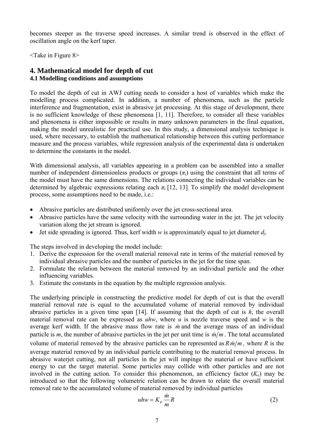becomes steeper as the traverse speed increases. A similar trend is observed in the effect of oscillation angle on the kerf taper.

<Take in Figure 8>

## **4. Mathematical model for depth of cut 4.1 Modelling conditions and assumptions**

To model the depth of cut in AWJ cutting needs to consider a host of variables which make the modelling process complicated. In addition, a number of phenomena, such as the particle interference and fragmentation, exist in abrasive jet processing. At this stage of development, there is no sufficient knowledge of these phenomena [1, 11]. Therefore, to consider all these variables and phenomena is either impossible or results in many unknown parameters in the final equation, making the model unrealistic for practical use. In this study, a dimensional analysis technique is used, where necessary, to establish the mathematical relationship between this cutting performance measure and the process variables, while regression analysis of the experimental data is undertaken to determine the constants in the model.

With dimensional analysis, all variables appearing in a problem can be assembled into a smaller number of independent dimensionless products or groups  $(\pi_i)$  using the constraint that all terms of the model must have the same dimensions. The relations connecting the individual variables can be determined by algebraic expressions relating each  $\pi$ <sup>*i*</sup> [12, 13]. To simplify the model development process, some assumptions need to be made, i.e.:

- Abrasive particles are distributed uniformly over the jet cross-sectional area.
- Abrasive particles have the same velocity with the surrounding water in the jet. The jet velocity variation along the jet stream is ignored.
- Jet side spreading is ignored. Thus, kerf width  $w$  is approximately equal to jet diameter  $d_i$ .

The steps involved in developing the model include:

- 1. Derive the expression for the overall material removal rate in terms of the material removed by individual abrasive particles and the number of particles in the jet for the time span.
- 2. Formulate the relation between the material removed by an individual particle and the other influencing variables.
- 3. Estimate the constants in the equation by the multiple regression analysis.

The underlying principle in constructing the predictive model for depth of cut is that the overall material removal rate is equal to the accumulated volume of material removed by individual abrasive particles in a given time span [14]. If assuming that the depth of cut is *h*, the overall material removal rate can be expressed as *uhw*, where *u* is nozzle traverse speed and *w* is the average kerf width. If the abrasive mass flow rate is *m* and the average mass of an individual particle is *m*, the number of abrasive particles in the jet per unit time is  $\dot{m}/m$ . The total accumulated volume of material removed by the abrasive particles can be represented as  $R \dot{m}/m$ , where R is the average material removed by an individual particle contributing to the material removal process. In abrasive waterjet cutting, not all particles in the jet will impinge the material or have sufficient energy to cut the target material. Some particles may collide with other particles and are not involved in the cutting action. To consider this phenomenon, an efficiency factor  $(K_e)$  may be introduced so that the following volumetric relation can be drawn to relate the overall material removal rate to the accumulated volume of material removed by individual particles

$$
uhw = K_e \frac{\dot{m}}{m} R
$$
 (2)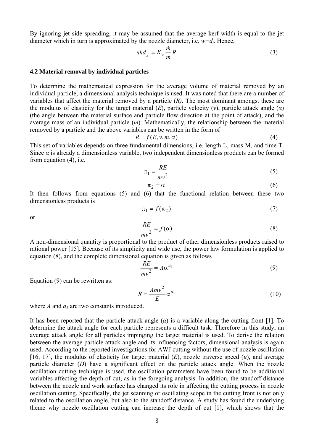By ignoring jet side spreading, it may be assumed that the average kerf width is equal to the jet diameter which in turn is approximated by the nozzle diameter, i.e.  $w=d_i$ . Hence,

$$
uhd_j = K_e \frac{\dot{m}}{m} R \tag{3}
$$

#### **4.2 Material removal by individual particles**

To determine the mathematical expression for the average volume of material removed by an individual particle, a dimensional analysis technique is used. It was noted that there are a number of variables that affect the material removed by a particle (*R)*. The most dominant amongst these are the modulus of elasticity for the target material (*E*), particle velocity (*v*), particle attack angle (*α*) (the angle between the material surface and particle flow direction at the point of attack), and the average mass of an individual particle (*m*). Mathematically, the relationship between the material removed by a particle and the above variables can be written in the form of

$$
R = f(E, v, m, \alpha) \tag{4}
$$

This set of variables depends on three fundamental dimensions, i.e. length L, mass M, and time T. Since  $\alpha$  is already a dimensionless variable, two independent dimensionless products can be formed from equation (4), i.e.

$$
\pi_1 = \frac{RE}{mv^2} \tag{5}
$$

$$
\pi_2 = \alpha \tag{6}
$$

It then follows from equations (5) and (6) that the functional relation between these two dimensionless products is

$$
\pi_1 = f(\pi_2) \tag{7}
$$

 $\frac{RE}{2} = f(\alpha)$  (8)

or

A non-dimensional quantity is proportional to the product of other dimensionless products raised to rational power [15]. Because of its simplicity and wide use, the power law formulation is applied to equation (8), and the complete dimensional equation is given as follows

 $\frac{R E}{m v^2} = f(\alpha)$ 

$$
\frac{RE}{mv^2} = A\alpha^{a_1} \tag{9}
$$

Equation (9) can be rewritten as:

$$
R = \frac{Amv^2}{E} \alpha^{a_1}
$$
 (10)

where  $A$  and  $a_1$  are two constants introduced.

It has been reported that the particle attack angle (*α*) is a variable along the cutting front [1]. To determine the attack angle for each particle represents a difficult task. Therefore in this study, an average attack angle for all particles impinging the target material is used. To derive the relation between the average particle attack angle and its influencing factors, dimensional analysis is again used. According to the reported investigations for AWJ cutting without the use of nozzle oscillation [16, 17], the modulus of elasticity for target material (*E*), nozzle traverse speed (*u*), and average particle diameter (*D*) have a significant effect on the particle attack angle. When the nozzle oscillation cutting technique is used, the oscillation parameters have been found to be additional variables affecting the depth of cut, as in the foregoing analysis. In addition, the standoff distance between the nozzle and work surface has changed its role in affecting the cutting process in nozzle oscillation cutting. Specifically, the jet scanning or oscillating scope in the cutting front is not only related to the oscillation angle, but also to the standoff distance. A study has found the underlying theme why nozzle oscillation cutting can increase the depth of cut [1], which shows that the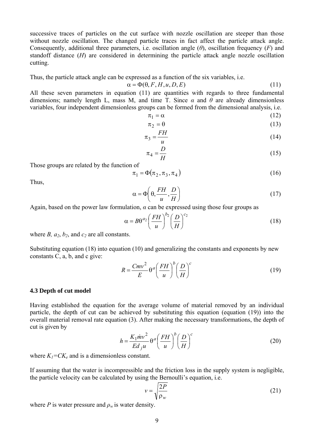successive traces of particles on the cut surface with nozzle oscillation are steeper than those without nozzle oscillation. The changed particle traces in fact affect the particle attack angle. Consequently, additional three parameters, i.e. oscillation angle (*θ*), oscillation frequency (*F*) and standoff distance (*H*) are considered in determining the particle attack angle nozzle oscillation cutting.

Thus, the particle attack angle can be expressed as a function of the six variables, i.e.

$$
\alpha = \Phi(\theta, F, H, u, D, E) \tag{11}
$$

All these seven parameters in equation (11) are quantities with regards to three fundamental dimensions; namely length L, mass M, and time T. Since *α* and *θ* are already dimensionless variables, four independent dimensionless groups can be formed from the dimensional analysis, i.e.

$$
\pi_1 = \alpha \tag{12}
$$

$$
\pi_2 = \theta \tag{13}
$$

$$
\pi_3 = \frac{FH}{u} \tag{14}
$$

$$
\pi_4 = \frac{D}{H} \tag{15}
$$

Those groups are related by the function of

$$
\pi_1 = \Phi(\pi_2, \pi_3, \pi_4) \tag{16}
$$

Thus,

$$
\alpha = \Phi\!\left(\theta, \frac{FH}{u}, \frac{D}{H}\right) \tag{17}
$$

Again, based on the power law formulation,  $\alpha$  can be expressed using those four groups as

$$
\alpha = B\theta^{a_2} \left(\frac{FH}{u}\right)^{b_2} \left(\frac{D}{H}\right)^{c_2} \tag{18}
$$

where *B*,  $a_2$ ,  $b_2$ , and  $c_2$  are all constants.

Substituting equation (18) into equation (10) and generalizing the constants and exponents by new constants C, a, b, and c give:

$$
R = \frac{Cmv^2}{E} \Theta^a \left(\frac{FH}{u}\right)^b \left(\frac{D}{H}\right)^c
$$
 (19)

#### **4.3 Depth of cut model**

Having established the equation for the average volume of material removed by an individual particle, the depth of cut can be achieved by substituting this equation (equation (19)) into the overall material removal rate equation (3). After making the necessary transformations, the depth of cut is given by

$$
h = \frac{K_1 \dot{m} v^2}{Ed_j u} \theta^a \left(\frac{FH}{u}\right)^b \left(\frac{D}{H}\right)^c
$$
 (20)

where  $K_I = C K_e$  and is a dimensionless constant.

If assuming that the water is incompressible and the friction loss in the supply system is negligible, the particle velocity can be calculated by using the Bernoulli's equation, i.e.

$$
v = \sqrt{\frac{2P}{\rho_w}}
$$
 (21)

where *P* is water pressure and  $\rho_w$  is water density.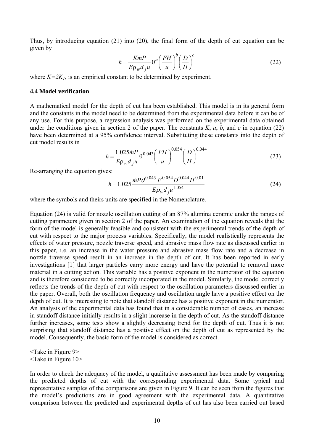Thus, by introducing equation (21) into (20), the final form of the depth of cut equation can be given by

$$
h = \frac{K\dot{m}P}{E\rho_w d_j u} \theta^a \left(\frac{FH}{u}\right)^b \left(\frac{D}{H}\right)^c
$$
 (22)

where  $K=2K_l$ , is an empirical constant to be determined by experiment.

#### **4.4 Model verification**

A mathematical model for the depth of cut has been established. This model is in its general form and the constants in the model need to be determined from the experimental data before it can be of any use. For this purpose, a regression analysis was performed on the experimental data obtained under the conditions given in section 2 of the paper. The constants  $K$ ,  $a$ ,  $b$ , and  $c$  in equation (22) have been determined at a 95% confidence interval. Substituting these constants into the depth of cut model results in

$$
h = \frac{1.025 \dot{m} P}{E \rho_w d_j u} \theta^{0.043} \left(\frac{FH}{u}\right)^{0.054} \left(\frac{D}{H}\right)^{0.044}
$$
 (23)

Re-arranging the equation gives:

$$
h = 1.025 \frac{\dot{m} P \theta^{0.043} F^{0.054} D^{0.044} H^{0.01}}{E \rho_w d_j u^{1.054}}
$$
(24)

where the symbols and theirs units are specified in the Nomenclature.

Equation (24) is valid for nozzle oscillation cutting of an 87% alumina ceramic under the ranges of cutting parameters given in section 2 of the paper. An examination of the equation reveals that the form of the model is generally feasible and consistent with the experimental trends of the depth of cut with respect to the major process variables. Specifically, the model realistically represents the effects of water pressure, nozzle traverse speed, and abrasive mass flow rate as discussed earlier in this paper, i.e. an increase in the water pressure and abrasive mass flow rate and a decrease in nozzle traverse speed result in an increase in the depth of cut. It has been reported in early investigations [1] that larger particles carry more energy and have the potential to removal more material in a cutting action. This variable has a positive exponent in the numerator of the equation and is therefore considered to be correctly incorporated in the model. Similarly, the model correctly reflects the trends of the depth of cut with respect to the oscillation parameters discussed earlier in the paper. Overall, both the oscillation frequency and oscillation angle have a positive effect on the depth of cut. It is interesting to note that standoff distance has a positive exponent in the numerator. An analysis of the experimental data has found that in a considerable number of cases, an increase in standoff distance initially results in a slight increase in the depth of cut. As the standoff distance further increases, some tests show a slightly decreasing trend for the depth of cut. Thus it is not surprising that standoff distance has a positive effect on the depth of cut as represented by the model. Consequently, the basic form of the model is considered as correct.

<Take in Figure 9>

<Take in Figure 10>

In order to check the adequacy of the model, a qualitative assessment has been made by comparing the predicted depths of cut with the corresponding experimental data. Some typical and representative samples of the comparisons are given in Figure 9. It can be seen from the figures that the model's predictions are in good agreement with the experimental data. A quantitative comparison between the predicted and experimental depths of cut has also been carried out based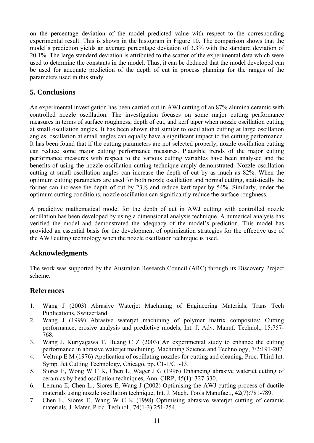on the percentage deviation of the model predicted value with respect to the corresponding experimental result. This is shown in the histogram in Figure 10. The comparison shows that the model's prediction yields an average percentage deviation of 3.3% with the standard deviation of 20.1%. The large standard deviation is attributed to the scatter of the experimental data which were used to determine the constants in the model. Thus, it can be deduced that the model developed can be used for adequate prediction of the depth of cut in process planning for the ranges of the parameters used in this study.

## **5. Conclusions**

An experimental investigation has been carried out in AWJ cutting of an 87% alumina ceramic with controlled nozzle oscillation. The investigation focuses on some major cutting performance measures in terms of surface roughness, depth of cut, and kerf taper when nozzle oscillation cutting at small oscillation angles. It has been shown that similar to oscillation cutting at large oscillation angles, oscillation at small angles can equally have a significant impact to the cutting performance. It has been found that if the cutting parameters are not selected properly, nozzle oscillation cutting can reduce some major cutting performance measures. Plausible trends of the major cutting performance measures with respect to the various cutting variables have been analysed and the benefits of using the nozzle oscillation cutting technique amply demonstrated. Nozzle oscillation cutting at small oscillation angles can increase the depth of cut by as much as 82%. When the optimum cutting parameters are used for both nozzle oscillation and normal cutting, statistically the former can increase the depth of cut by 23% and reduce kerf taper by 54%. Similarly, under the optimum cutting conditions, nozzle oscillation can significantly reduce the surface roughness.

A predictive mathematical model for the depth of cut in AWJ cutting with controlled nozzle oscillation has been developed by using a dimensional analysis technique. A numerical analysis has verified the model and demonstrated the adequacy of the model's prediction. This model has provided an essential basis for the development of optimization strategies for the effective use of the AWJ cutting technology when the nozzle oscillation technique is used.

## **Acknowledgments**

The work was supported by the Australian Research Council (ARC) through its Discovery Project scheme.

## **References**

- 1. Wang J (2003) Abrasive Waterjet Machining of Engineering Materials, Trans Tech Publications, Switzerland.
- 2. Wang J (1999) Abrasive waterjet machining of polymer matrix composites: Cutting performance, erosive analysis and predictive models, Int. J. Adv. Manuf. Technol., 15:757- 768.
- 3. Wang J, Kuriyagawa T, Huang C Z (2003) An experimental study to enhance the cutting performance in abrasive waterjet machining, Machining Science and Technology, 7/2:191-207.
- 4. Veltrup E M (1976) Application of oscillating nozzles for cutting and cleaning, Proc. Third Int. Symp. Jet Cutting Technology, Chicago, pp. C1-1/C1-13.
- 5. Siores E, Wong W C K, Chen L, Wager J G (1996) Enhancing abrasive waterjet cutting of ceramics by head oscillation techniques, Ann. CIRP, 45(1): 327-330.
- 6. Lemma E, Chen L., Siores E, Wang J (2002) Optimising the AWJ cutting process of ductile materials using nozzle oscillation technique, Int. J. Mach. Tools Manufact., 42(7):781-789.
- 7. Chen L, Siores E, Wang W C K (1998) Optimising abrasive waterjet cutting of ceramic materials, J. Mater. Proc. Technol., 74(1-3):251-254.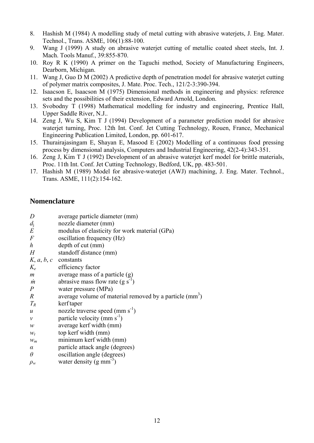- 8. Hashish M (1984) A modelling study of metal cutting with abrasive waterjets, J. Eng. Mater. Technol., Trans. ASME, 106(1):88-100.
- 9. Wang J (1999) A study on abrasive waterjet cutting of metallic coated sheet steels, Int. J. Mach. Tools Manuf., 39:855-870.
- 10. Roy R K (1990) A primer on the Taguchi method, Society of Manufacturing Engineers, Dearborn, Michigan.
- 11. Wang J, Guo D M (2002) A predictive depth of penetration model for abrasive waterjet cutting of polymer matrix composites, J. Mate. Proc. Tech., 121/2-3:390-394.
- 12. Isaacson E, Isaacson M (1975) Dimensional methods in engineering and physics: reference sets and the possibilities of their extension, Edward Arnold, London.
- 13. Svobodny T (1998) Mathematical modelling for industry and engineering, Prentice Hall, Upper Saddle River, N.J..
- 14. Zeng J, Wu S, Kim T J (1994) Development of a parameter prediction model for abrasive waterjet turning, Proc. 12th Int. Conf. Jet Cutting Technology, Rouen, France, Mechanical Engineering Publication Limited, London, pp. 601-617.
- 15. Thurairajasingam E, Shayan E, Masood E (2002) Modelling of a continuous food pressing process by dimensional analysis, Computers and Industrial Engineering, 42(2-4):343-351.
- 16. Zeng J, Kim T J (1992) Development of an abrasive waterjet kerf model for brittle materials, Proc. 11th Int. Conf. Jet Cutting Technology, Bedford, UK, pp. 483-501.
- 17. Hashish M (1989) Model for abrasive-waterjet (AWJ) machining, J. Eng. Mater. Technol., Trans. ASME, 111(2):154-162.

## **Nomenclature**

| D                      | average particle diameter (mm)                                      |
|------------------------|---------------------------------------------------------------------|
| $d_i$                  | nozzle diameter (mm)                                                |
| $E\,$                  | modulus of elasticity for work material (GPa)                       |
| $\boldsymbol{F}$       | oscillation frequency (Hz)                                          |
| $\boldsymbol{h}$       | depth of cut (mm)                                                   |
| H                      | standoff distance (mm)                                              |
| $K, a, b, c$ constants |                                                                     |
| $K_e$                  | efficiency factor                                                   |
| $\mathfrak{m}$         | average mass of a particle (g)                                      |
| $\dot{m}$              | abrasive mass flow rate $(g s-1)$                                   |
| $\boldsymbol{P}$       | water pressure (MPa)                                                |
| $\boldsymbol{R}$       | average volume of material removed by a particle (mm <sup>3</sup> ) |
| $T_R$                  | kerf taper                                                          |
| $\boldsymbol{u}$       | nozzle traverse speed (mm $s^{-1}$ )                                |
| $\mathcal V$           | particle velocity (mm $s^{-1}$ )                                    |
| w                      | average kerf width (mm)                                             |
| $W_t$                  | top kerf width (mm)                                                 |
| $W_m$                  | minimum kerf width (mm)                                             |
| $\alpha$               | particle attack angle (degrees)                                     |
| $\theta$               | oscillation angle (degrees)                                         |
| $\rho_w$               | water density $(g \text{ mm}^{-3})$                                 |
|                        |                                                                     |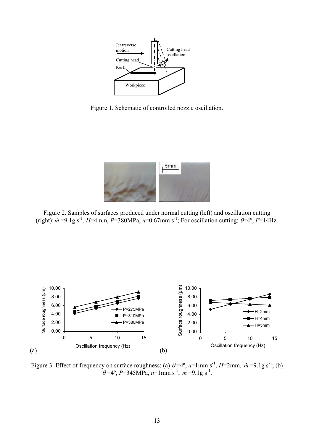

Figure 1. Schematic of controlled nozzle oscillation.



Figure 2. Samples of surfaces produced under normal cutting (left) and oscillation cutting (right):  $\dot{m} = 9.1$ g s<sup>-1</sup>, *H*=4mm, *P*=380MPa, *u*=0.67mm s<sup>-1</sup>; For oscillation cutting:  $\theta = 4^\circ$ , *F*=14Hz.



Figure 3. Effect of frequency on surface roughness: (a)  $\theta = 4^\circ$ ,  $u=1$ mm s<sup>-1</sup>,  $H=2$ mm,  $m=9.1$ g s<sup>-1</sup>; (b)  $\theta = 4^{\circ}, P = 345 \text{MPa}, u = 1 \text{mm s}^{-1}, m = 9.1 \text{g s}^{-1}.$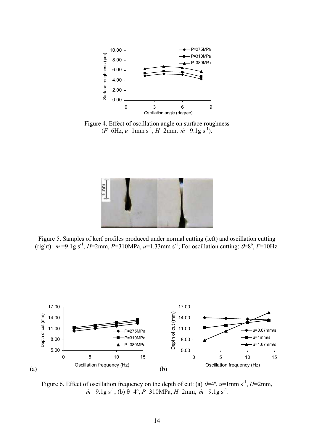

Figure 4. Effect of oscillation angle on surface roughness  $(F=6\text{Hz}, u=1\text{mm s}^{-1}, H=2\text{mm}, m=9.1g \text{ s}^{-1}).$ 



Figure 5. Samples of kerf profiles produced under normal cutting (left) and oscillation cutting (right):  $\dot{m} = 9.1g \text{ s}^{-1}$ ,  $H = 2\text{mm}$ ,  $P = 310 \text{MPa}$ ,  $u = 1.33 \text{mm s}^{-1}$ ; For oscillation cutting:  $\theta = 8^\circ$ ,  $F = 10 \text{Hz}$ .



Figure 6. Effect of oscillation frequency on the depth of cut: (a)  $\theta = 4^\circ$ ,  $u=1$ mm s<sup>-1</sup>,  $H=2$ mm,  $m = 9.1g s^{-1}$ ; (b)  $\theta = 4^\circ$ ,  $P = 310MPa$ ,  $H = 2mm$ ,  $m = 9.1g s^{-1}$ .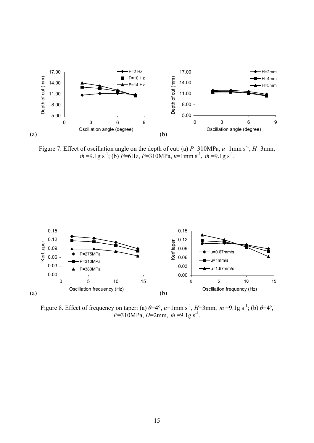

Figure 7. Effect of oscillation angle on the depth of cut: (a)  $P=310MPa$ ,  $u=1mm s^{-1}$ ,  $H=3mm$ ,  $\dot{m}$  =9.1g s<sup>-1</sup>; (b)  $\bar{F}$ =6Hz,  $P$ =310MPa,  $u$ =1mm s<sup>-1</sup>,  $\dot{m}$  =9.1g s<sup>-1</sup>.



Figure 8. Effect of frequency on taper: (a)  $\theta=4^\circ$ ,  $u=1$ mm s<sup>-1</sup>,  $H=3$ mm,  $\dot{m}=9.1$ g s<sup>-1</sup>; (b)  $\theta=4^\circ$ , *P*=310MPa, *H*=2mm,  $\dot{m}$  =9.1g s<sup>-1</sup>.